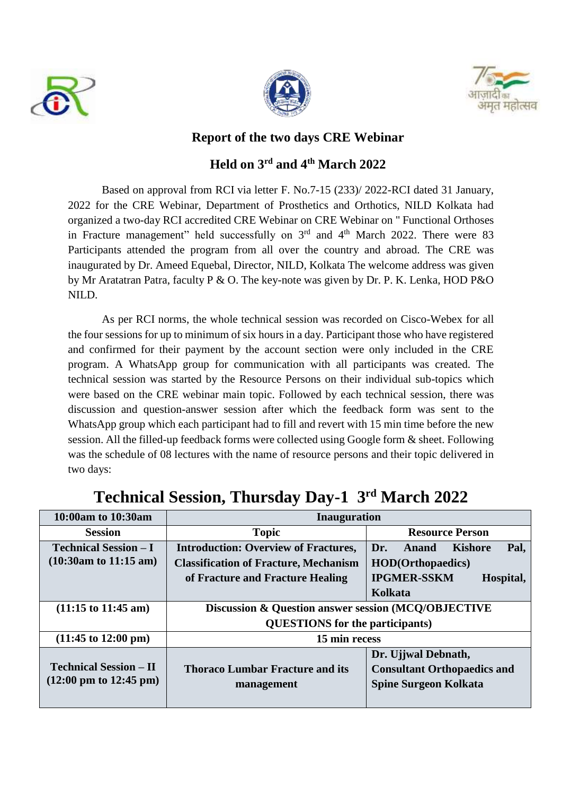





## **Report of the two days CRE Webinar**

## **Held on 3 rd and 4th March 2022**

Based on approval from RCI via letter F. No.7-15 (233)/ 2022-RCI dated 31 January, 2022 for the CRE Webinar, Department of Prosthetics and Orthotics, NILD Kolkata had organized a two-day RCI accredited CRE Webinar on CRE Webinar on " Functional Orthoses in Fracture management" held successfully on  $3<sup>rd</sup>$  and  $4<sup>th</sup>$  March 2022. There were 83 Participants attended the program from all over the country and abroad. The CRE was inaugurated by Dr. Ameed Equebal, Director, NILD, Kolkata The welcome address was given by Mr Aratatran Patra, faculty P & O. The key-note was given by Dr. P. K. Lenka, HOD P&O NILD.

As per RCI norms, the whole technical session was recorded on Cisco-Webex for all the four sessions for up to minimum of six hours in a day. Participant those who have registered and confirmed for their payment by the account section were only included in the CRE program. A WhatsApp group for communication with all participants was created. The technical session was started by the Resource Persons on their individual sub-topics which were based on the CRE webinar main topic. Followed by each technical session, there was discussion and question-answer session after which the feedback form was sent to the WhatsApp group which each participant had to fill and revert with 15 min time before the new session. All the filled-up feedback forms were collected using Google form & sheet. Following was the schedule of 08 lectures with the name of resource persons and their topic delivered in two days:

| 10:00am to 10:30am                                                         | <b>Inauguration</b>                                                                                                             |                                                                                                                   |
|----------------------------------------------------------------------------|---------------------------------------------------------------------------------------------------------------------------------|-------------------------------------------------------------------------------------------------------------------|
| <b>Session</b>                                                             | <b>Topic</b>                                                                                                                    | <b>Resource Person</b>                                                                                            |
| <b>Technical Session – I</b><br>$(10:30am \text{ to } 11:15 \text{ am})$   | <b>Introduction: Overview of Fractures,</b><br><b>Classification of Fracture, Mechanism</b><br>of Fracture and Fracture Healing | Pal.<br>Dr.<br>Kishore<br><b>Anand</b><br><b>HOD</b> (Orthopaedics)<br><b>IPGMER-SSKM</b><br>Hospital,<br>Kolkata |
| $(11:15 \text{ to } 11:45 \text{ am})$                                     | Discussion & Question answer session (MCQ/OBJECTIVE<br><b>QUESTIONS</b> for the participants)                                   |                                                                                                                   |
| $(11:45 \text{ to } 12:00 \text{ pm})$                                     | 15 min recess                                                                                                                   |                                                                                                                   |
| <b>Technical Session – II</b><br>$(12:00 \text{ pm to } 12:45 \text{ pm})$ | <b>Thoraco Lumbar Fracture and its</b><br>management                                                                            | Dr. Ujjwal Debnath,<br><b>Consultant Orthopaedics and</b><br><b>Spine Surgeon Kolkata</b>                         |

## **Technical Session, Thursday Day-1 3rd March 2022**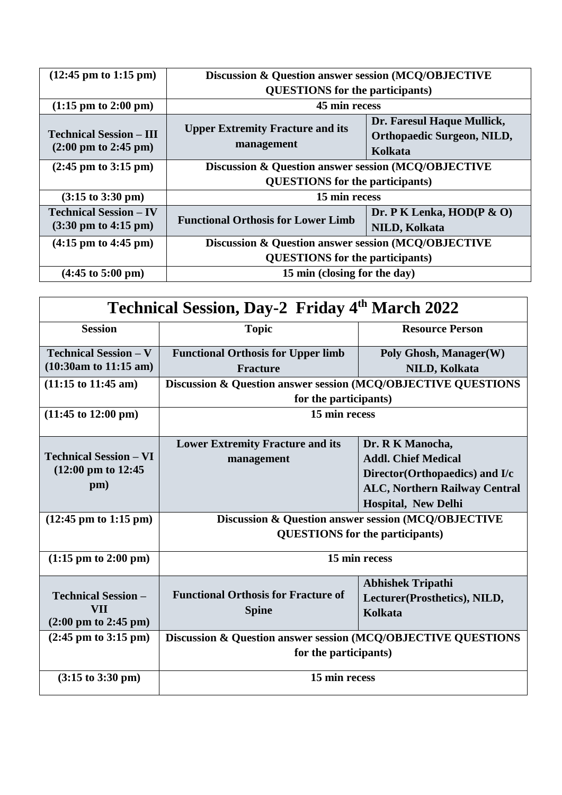| $(12:45 \text{ pm to } 1:15 \text{ pm})$                                  | Discussion & Question answer session (MCQ/OBJECTIVE   |                                                                            |
|---------------------------------------------------------------------------|-------------------------------------------------------|----------------------------------------------------------------------------|
|                                                                           | <b>QUESTIONS</b> for the participants)                |                                                                            |
| $(1:15 \text{ pm to } 2:00 \text{ pm})$                                   | 45 min recess                                         |                                                                            |
| <b>Technical Session – III</b><br>$(2:00 \text{ pm to } 2:45 \text{ pm})$ | <b>Upper Extremity Fracture and its</b><br>management | Dr. Faresul Haque Mullick,<br><b>Orthopaedic Surgeon, NILD,</b><br>Kolkata |
| $(2:45 \text{ pm to } 3:15 \text{ pm})$                                   | Discussion & Question answer session (MCQ/OBJECTIVE   |                                                                            |
|                                                                           | <b>QUESTIONS</b> for the participants)                |                                                                            |
| $(3:15 \text{ to } 3:30 \text{ pm})$                                      | 15 min recess                                         |                                                                            |
| <b>Technical Session – IV</b>                                             | <b>Functional Orthosis for Lower Limb</b>             | Dr. P K Lenka, $HOD(P \& O)$                                               |
| $(3:30 \text{ pm to } 4:15 \text{ pm})$                                   |                                                       | <b>NILD, Kolkata</b>                                                       |
| $(4:15 \text{ pm to } 4:45 \text{ pm})$                                   | Discussion & Question answer session (MCQ/OBJECTIVE   |                                                                            |
|                                                                           | <b>QUESTIONS</b> for the participants)                |                                                                            |
| $(4:45 \text{ to } 5:00 \text{ pm})$                                      | 15 min (closing for the day)                          |                                                                            |

| <b>Technical Session, Day-2 Friday 4th March 2022</b> |                                                                                        |                                      |  |  |
|-------------------------------------------------------|----------------------------------------------------------------------------------------|--------------------------------------|--|--|
| <b>Session</b>                                        | <b>Topic</b>                                                                           | <b>Resource Person</b>               |  |  |
| <b>Technical Session - V</b>                          | <b>Functional Orthosis for Upper limb</b>                                              | Poly Ghosh, Manager(W)               |  |  |
| $(10:30am)$ to 11:15 am)                              | <b>Fracture</b>                                                                        | <b>NILD, Kolkata</b>                 |  |  |
| $(11:15 \text{ to } 11:45 \text{ am})$                | Discussion & Question answer session (MCQ/OBJECTIVE QUESTIONS                          |                                      |  |  |
|                                                       | for the participants)                                                                  |                                      |  |  |
| $(11:45 \text{ to } 12:00 \text{ pm})$                | 15 min recess                                                                          |                                      |  |  |
|                                                       | <b>Lower Extremity Fracture and its</b>                                                | Dr. R K Manocha,                     |  |  |
| <b>Technical Session – VI</b>                         | management                                                                             | <b>Addl. Chief Medical</b>           |  |  |
| $(12:00 \text{ pm to } 12:45)$                        |                                                                                        | Director (Orthopaedics) and I/c      |  |  |
| pm)                                                   |                                                                                        | <b>ALC, Northern Railway Central</b> |  |  |
|                                                       |                                                                                        | <b>Hospital, New Delhi</b>           |  |  |
| $(12:45 \text{ pm to } 1:15 \text{ pm})$              | Discussion & Question answer session (MCQ/OBJECTIVE                                    |                                      |  |  |
|                                                       | <b>QUESTIONS</b> for the participants)                                                 |                                      |  |  |
| $(1:15 \text{ pm to } 2:00 \text{ pm})$               | 15 min recess                                                                          |                                      |  |  |
|                                                       |                                                                                        | <b>Abhishek Tripathi</b>             |  |  |
| <b>Technical Session -</b>                            | <b>Functional Orthosis for Fracture of</b>                                             | Lecturer(Prosthetics), NILD,         |  |  |
| VII<br>$(2:00 \text{ pm to } 2:45 \text{ pm})$        | <b>Spine</b>                                                                           | Kolkata                              |  |  |
| $(2:45 \text{ pm to } 3:15 \text{ pm})$               |                                                                                        |                                      |  |  |
|                                                       | Discussion & Question answer session (MCQ/OBJECTIVE QUESTIONS<br>for the participants) |                                      |  |  |
|                                                       |                                                                                        |                                      |  |  |
| $(3:15 \text{ to } 3:30 \text{ pm})$                  | 15 min recess                                                                          |                                      |  |  |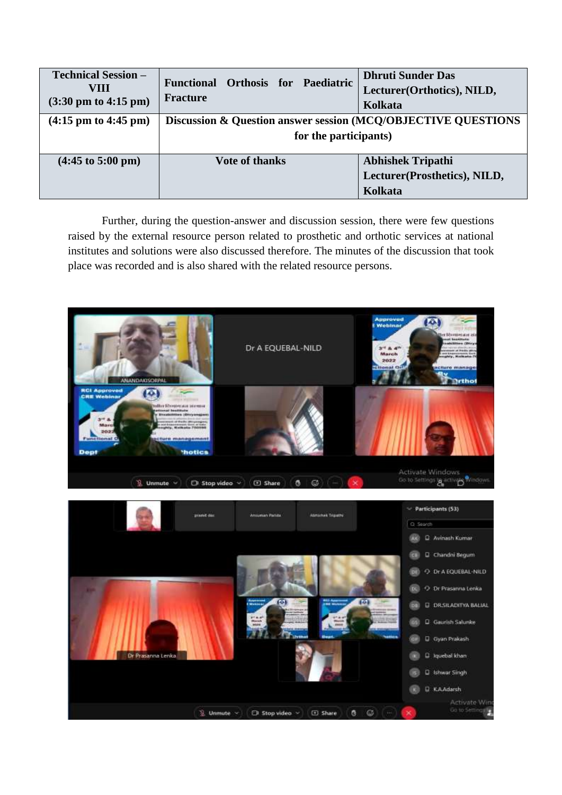| <b>Technical Session –</b><br>VIII<br>$(3:30 \text{ pm to } 4:15 \text{ pm})$ | Functional Orthosis for Paediatric<br>Fracture                | <b>Dhruti Sunder Das</b><br>Lecturer (Orthotics), NILD,<br>Kolkata |  |
|-------------------------------------------------------------------------------|---------------------------------------------------------------|--------------------------------------------------------------------|--|
| $(4:15 \text{ pm to } 4:45 \text{ pm})$                                       | Discussion & Question answer session (MCQ/OBJECTIVE QUESTIONS |                                                                    |  |
|                                                                               | for the participants)                                         |                                                                    |  |
| $(4:45 \text{ to } 5:00 \text{ pm})$                                          | <b>Vote of thanks</b>                                         | <b>Abhishek Tripathi</b>                                           |  |
|                                                                               |                                                               | Lecturer(Prosthetics), NILD,                                       |  |
|                                                                               |                                                               | Kolkata                                                            |  |

Further, during the question-answer and discussion session, there were few questions raised by the external resource person related to prosthetic and orthotic services at national institutes and solutions were also discussed therefore. The minutes of the discussion that took place was recorded and is also shared with the related resource persons.